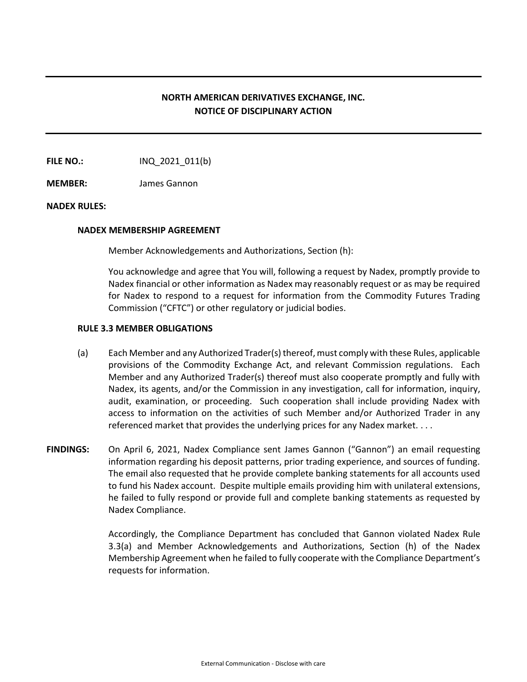## **NORTH AMERICAN DERIVATIVES EXCHANGE, INC. NOTICE OF DISCIPLINARY ACTION**

**FILE NO.:** INQ 2021 011(b)

**MEMBER:** James Gannon

## **NADEX RULES:**

## **NADEX MEMBERSHIP AGREEMENT**

Member Acknowledgements and Authorizations, Section (h):

You acknowledge and agree that You will, following a request by Nadex, promptly provide to Nadex financial or other information as Nadex may reasonably request or as may be required for Nadex to respond to a request for information from the Commodity Futures Trading Commission ("CFTC") or other regulatory or judicial bodies.

## **RULE 3.3 MEMBER OBLIGATIONS**

- (a) Each Member and any Authorized Trader(s) thereof, must comply with these Rules, applicable provisions of the Commodity Exchange Act, and relevant Commission regulations. Each Member and any Authorized Trader(s) thereof must also cooperate promptly and fully with Nadex, its agents, and/or the Commission in any investigation, call for information, inquiry, audit, examination, or proceeding. Such cooperation shall include providing Nadex with access to information on the activities of such Member and/or Authorized Trader in any referenced market that provides the underlying prices for any Nadex market. . . .
- **FINDINGS:** On April 6, 2021, Nadex Compliance sent James Gannon ("Gannon") an email requesting information regarding his deposit patterns, prior trading experience, and sources of funding. The email also requested that he provide complete banking statements for all accounts used to fund his Nadex account. Despite multiple emails providing him with unilateral extensions, he failed to fully respond or provide full and complete banking statements as requested by Nadex Compliance.

Accordingly, the Compliance Department has concluded that Gannon violated Nadex Rule 3.3(a) and Member Acknowledgements and Authorizations, Section (h) of the Nadex Membership Agreement when he failed to fully cooperate with the Compliance Department's requests for information.